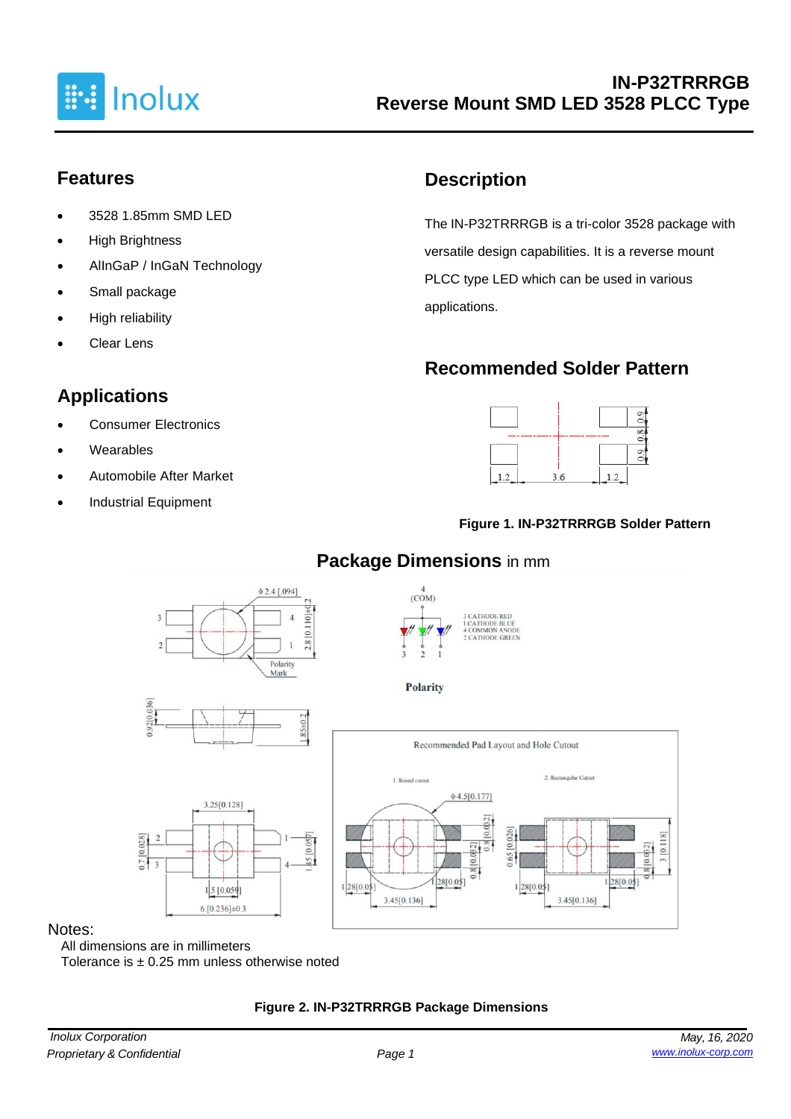

### **Features**

- 3528 1.85mm SMD LED
- High Brightness
- AlInGaP / InGaN Technology
- Small package
- High reliability
- **Clear Lens**

# **Applications**

- Consumer Electronics
- **Wearables**
- Automobile After Market
- Industrial Equipment

## **Description**

The IN-P32TRRRGB is a tri-color 3528 package with versatile design capabilities. It is a reverse mount PLCC type LED which can be used in various applications.

## **Recommended Solder Pattern**



#### **Figure 1. IN-P32TRRRGB Solder Pattern**



#### **Package Dimensions** in mm

#### Notes:

All dimensions are in millimeters Tolerance is  $\pm$  0.25 mm unless otherwise noted

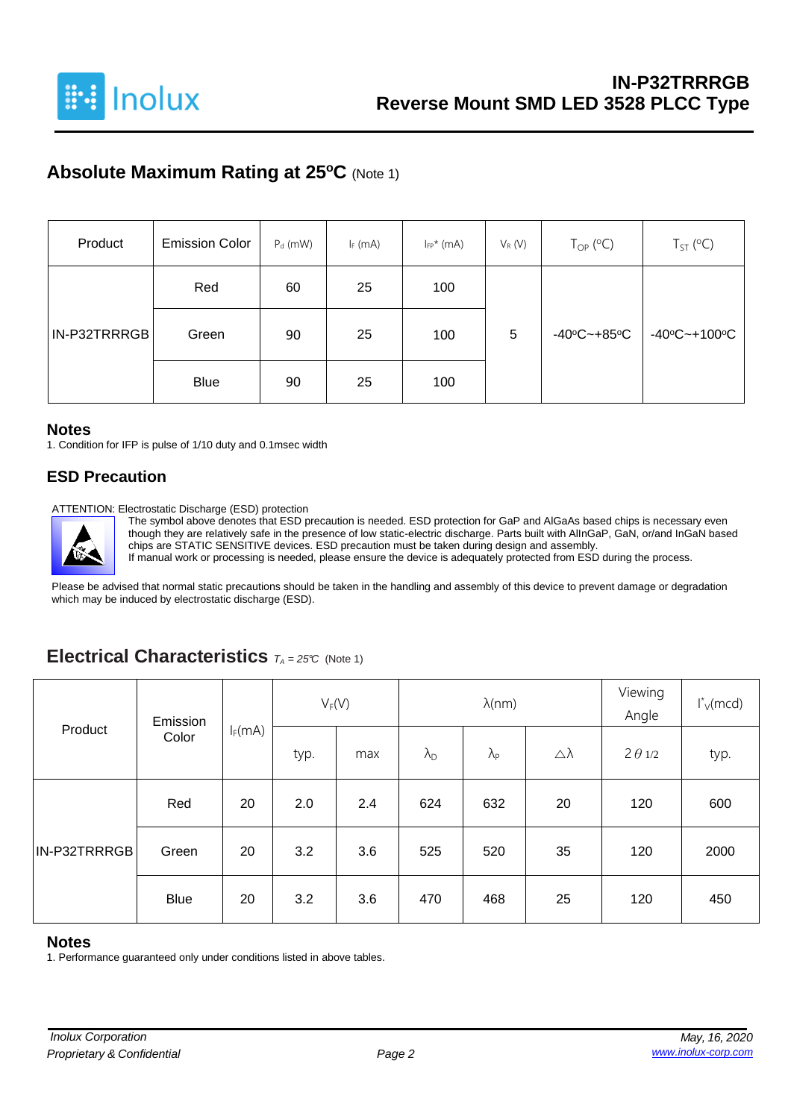

## **Absolute Maximum Rating at 25<sup>o</sup>C** (Note 1)

| Product      | <b>Emission Color</b> | $P_d$ (mW) | $I_F$ (mA) | $I_{FP}$ * (mA) | $V_R(V)$ | $T_{OP}$ (°C)                    | $T_{ST}$ (°C)                     |  |
|--------------|-----------------------|------------|------------|-----------------|----------|----------------------------------|-----------------------------------|--|
|              | Red                   | 60         | 25         | 100             |          |                                  |                                   |  |
| IN-P32TRRRGB | Green                 | 90         | 25         | 100             | 5        | $-40^{\circ}$ C $-+85^{\circ}$ C | $-40^{\circ}$ C $-+100^{\circ}$ C |  |
|              | <b>Blue</b>           | 90         | 25         | 100             |          |                                  |                                   |  |

#### **Notes**

1. Condition for IFP is pulse of 1/10 duty and 0.1msec width

#### **ESD Precaution**

ATTENTION: Electrostatic Discharge (ESD) protection

The symbol above denotes that ESD precaution is needed. ESD protection for GaP and AlGaAs based chips is necessary even though they are relatively safe in the presence of low static-electric discharge. Parts built with AlInGaP, GaN, or/and InGaN based chips are STATIC SENSITIVE devices. ESD precaution must be taken during design and assembly. If manual work or processing is needed, please ensure the device is adequately protected from ESD during the process.

Please be advised that normal static precautions should be taken in the handling and assembly of this device to prevent damage or degradation which may be induced by electrostatic discharge (ESD).

#### **Electrical Characteristics** *<sup>T</sup><sup>A</sup> <sup>=</sup> 25°C* (Note 1)

|              | Emission    |           | $V_F(V)$ |     |                      | $\lambda$ (nm)    | Viewing<br>Angle | $I_{V}^{*}$ (mcd) |      |
|--------------|-------------|-----------|----------|-----|----------------------|-------------------|------------------|-------------------|------|
| Product      | Color       | $I_F(mA)$ | typ.     | max | $\lambda_{\text{D}}$ | $\lambda_{\rm P}$ | Δλ               | $2 \theta 1/2$    | typ. |
|              | Red         | 20        | 2.0      | 2.4 | 624                  | 632               | 20               | 120               | 600  |
| IN-P32TRRRGB | Green       | 20        | 3.2      | 3.6 | 525                  | 520               | 35               | 120               | 2000 |
|              | <b>Blue</b> | 20        | 3.2      | 3.6 | 470                  | 468               | 25               | 120               | 450  |

#### **Notes**

1. Performance guaranteed only under conditions listed in above tables.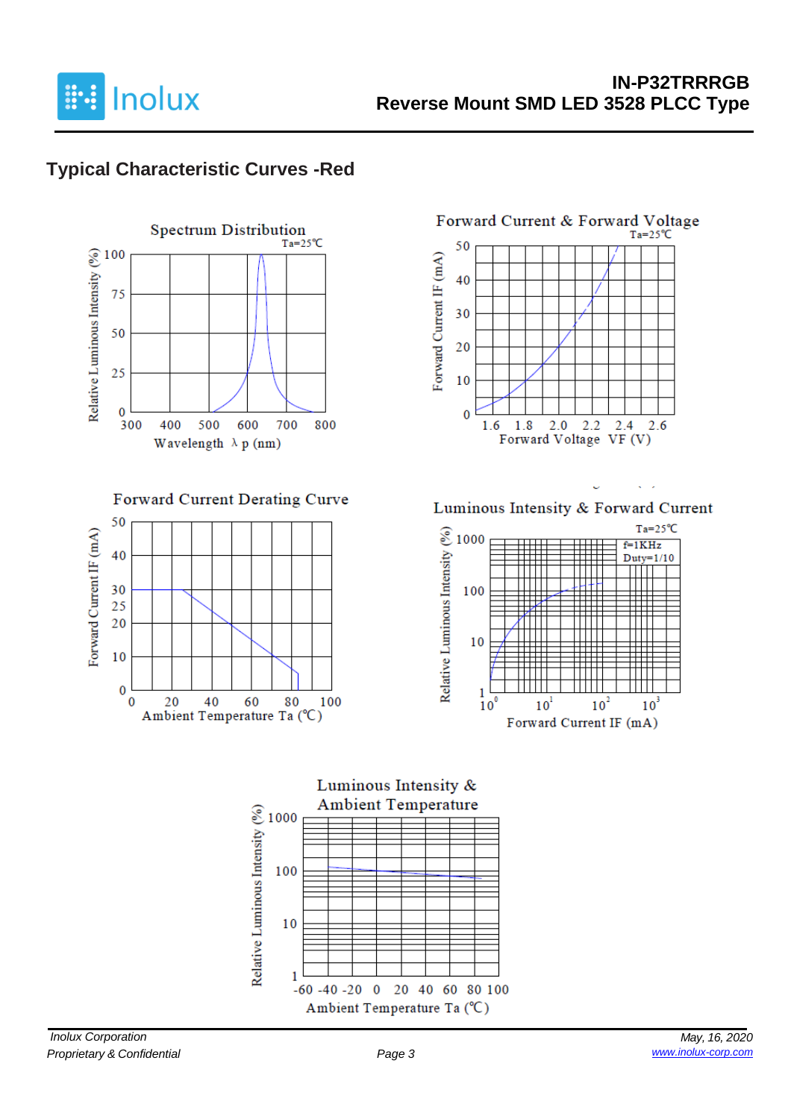

## **Typical Characteristic Curves -Red**



Forward Current Derating Curve





Luminous Intensity & Forward Current

L.

 $\sqrt{2}$ 



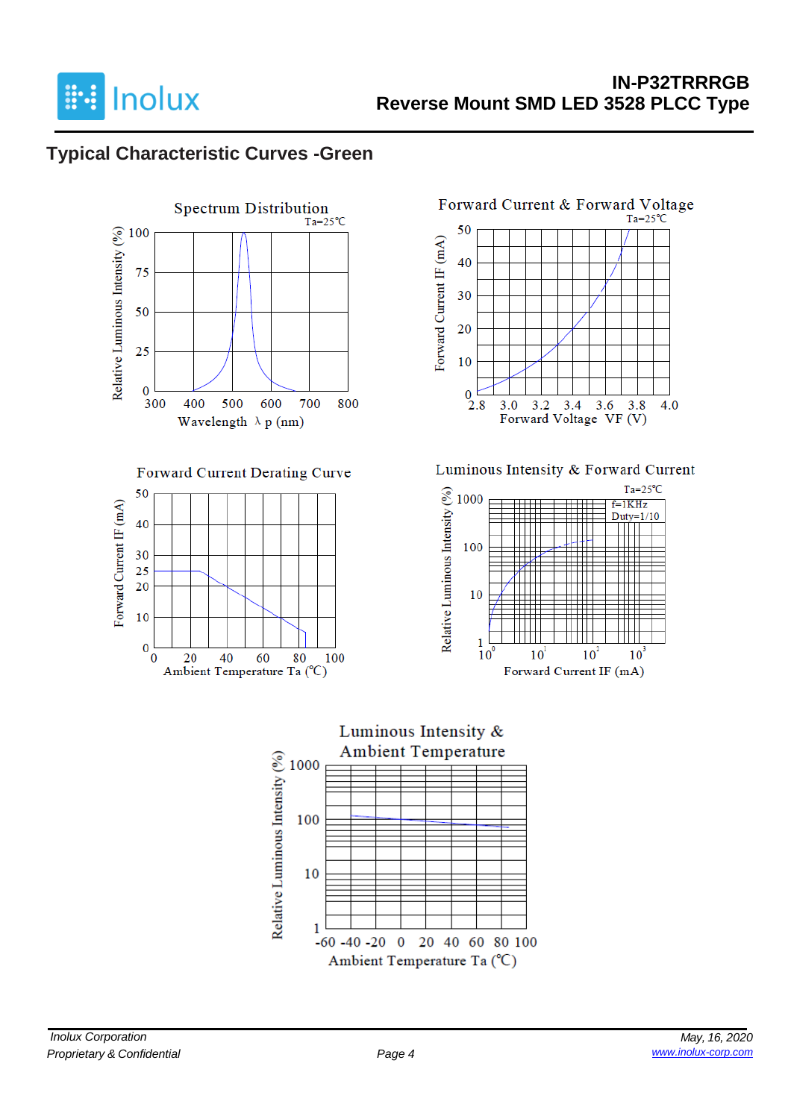

### **Typical Characteristic Curves -Green**



4.0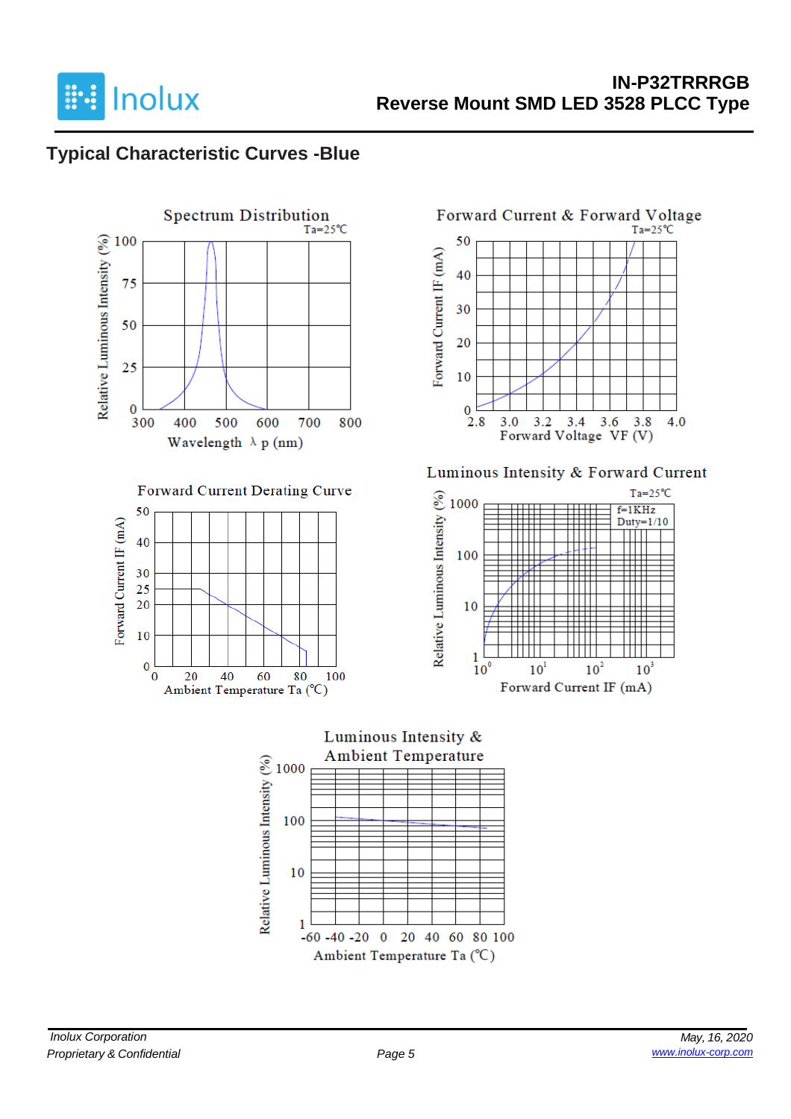

### **Typical Characteristic Curves -Blue**



#### Forward Current Derating Curve





#### Luminous Intensity & Forward Current



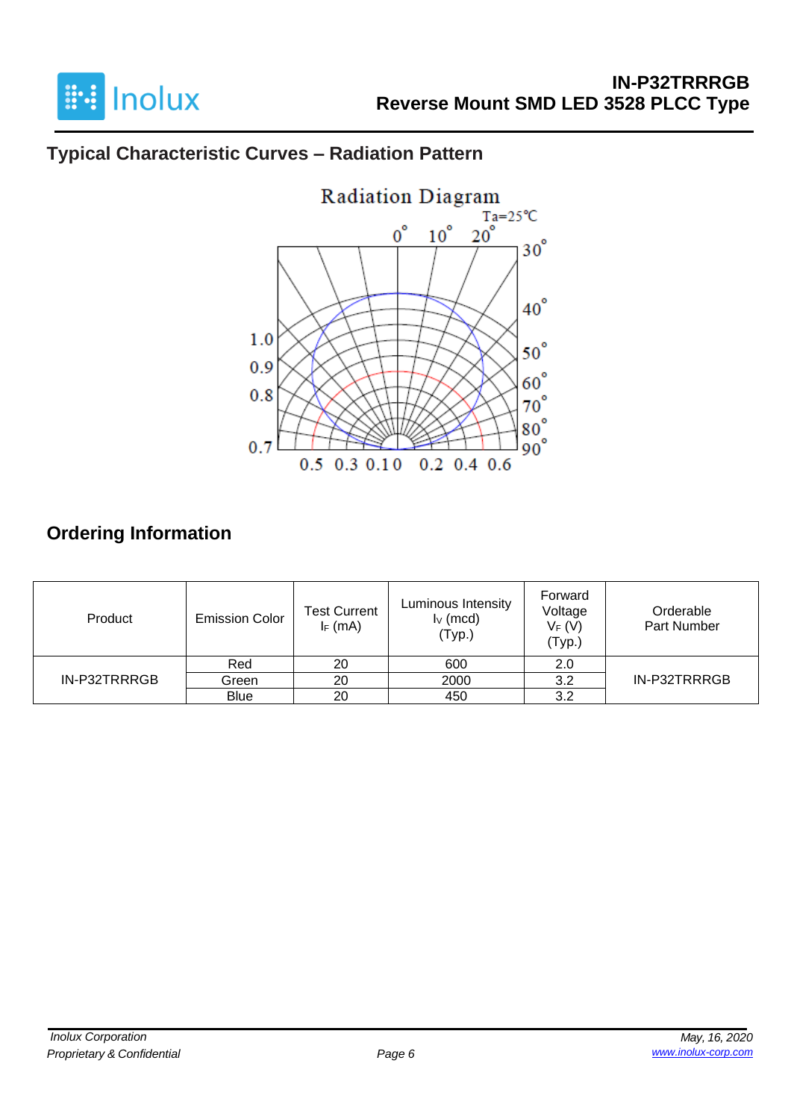

# **Typical Characteristic Curves – Radiation Pattern**



# **Ordering Information**

| Product      | <b>Emission Color</b> | <b>Test Current</b><br>$I_F$ (mA) | Luminous Intensity<br>$I_V$ (mcd)<br>(Typ.) | Forward<br>Voltage<br>$V_F(V)$<br>(Typ.) | Orderable<br>Part Number |  |
|--------------|-----------------------|-----------------------------------|---------------------------------------------|------------------------------------------|--------------------------|--|
|              | Red                   | 20                                | 600                                         | 2.0                                      |                          |  |
| IN-P32TRRRGB | Green                 | 20                                | 2000                                        | 3.2                                      | IN-P32TRRRGB             |  |
|              | <b>Blue</b>           | 20                                | 450                                         | 3.2                                      |                          |  |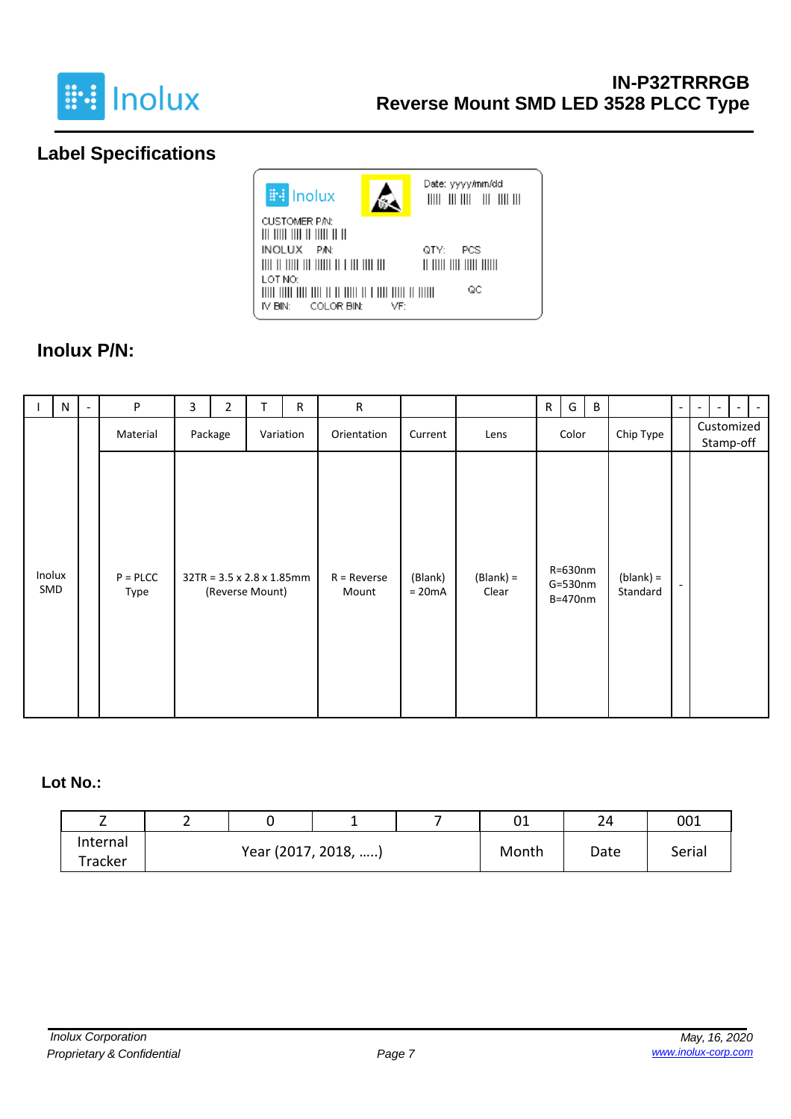

## **Label Specifications**



### **Inolux P/N:**

|               | N | $\overline{\phantom{a}}$ | P                     | 3 | $\overline{2}$                                            | T | $\mathsf{R}$ | ${\sf R}$              |                     |                      | $\mathsf{R}$ | G                                | B |                         | $\overline{\phantom{a}}$ | $\overline{\phantom{a}}$ | $\sim$ |
|---------------|---|--------------------------|-----------------------|---|-----------------------------------------------------------|---|--------------|------------------------|---------------------|----------------------|--------------|----------------------------------|---|-------------------------|--------------------------|--------------------------|--------|
|               |   |                          | Material              |   | Package                                                   |   | Variation    | Orientation            | Current             | Lens                 |              | Color                            |   | Chip Type               | Customized               | Stamp-off                |        |
| Inolux<br>SMD |   |                          | $P = P L C C$<br>Type |   | $32TR = 3.5 \times 2.8 \times 1.85$ mm<br>(Reverse Mount) |   |              | $R =$ Reverse<br>Mount | (Blank)<br>$= 20mA$ | $(Blank) =$<br>Clear |              | R=630nm<br>$G=530$ nm<br>B=470nm |   | $(blank) =$<br>Standard |                          |                          |        |

#### **Lot No.:**

| -        | - |                     |  |  | 01    | 24     | 001 |
|----------|---|---------------------|--|--|-------|--------|-----|
| Internal |   | Year (2017, 2018, ) |  |  | Date  | Serial |     |
| Tracker  |   |                     |  |  | Month |        |     |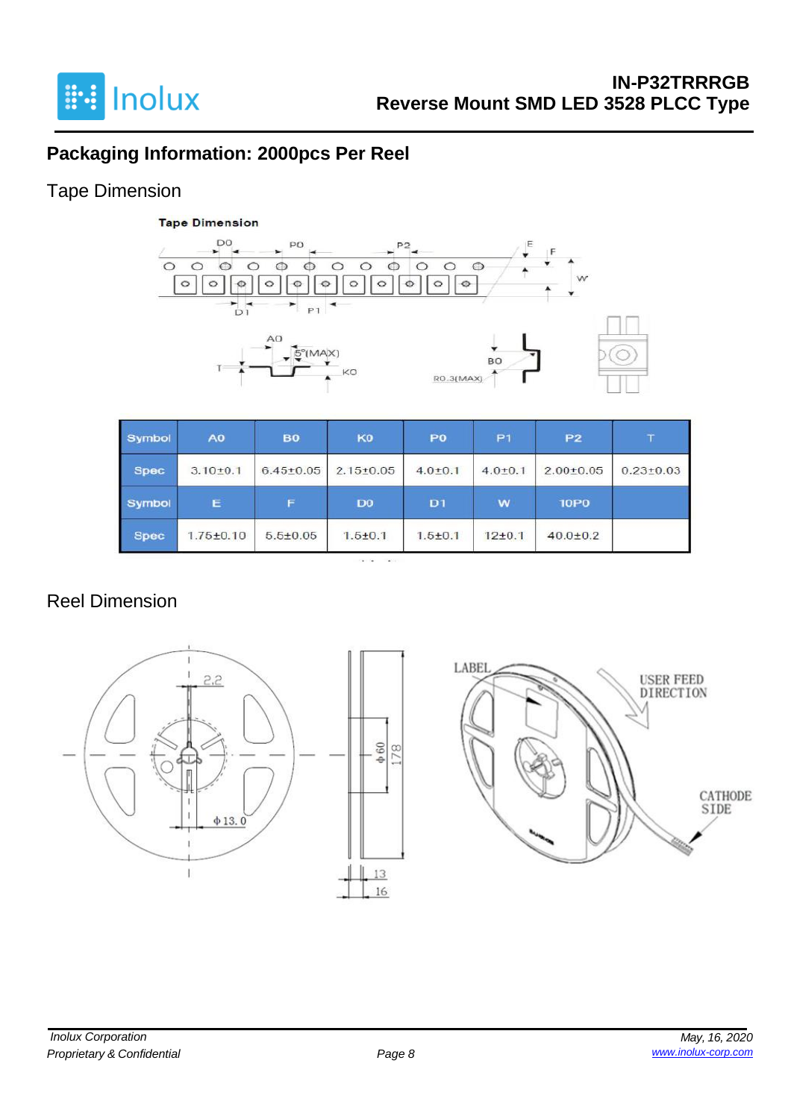

## **Packaging Information: 2000pcs Per Reel**

### Tape Dimension



| Symbol      | A <sub>0</sub>  | <b>B0</b>       | KO              | P <sub>0</sub> | P <sub>1</sub> | <b>P2</b>       |                 |
|-------------|-----------------|-----------------|-----------------|----------------|----------------|-----------------|-----------------|
| <b>Spec</b> | $3.10 \pm 0.1$  | $6.45 \pm 0.05$ | $2.15 \pm 0.05$ | $4.0 \pm 0.1$  | $4.0{\pm}0.1$  | $2.00 \pm 0.05$ | $0.23 \pm 0.03$ |
| Symbol      | Е               | F               | D <sub>0</sub>  | D <sub>1</sub> | w              | <b>10P0</b>     |                 |
| <b>Spec</b> | $1.75 \pm 0.10$ | $5.5 \pm 0.05$  | $1.5 + 0.1$     | $1.5 + 0.1$    | $12+0.1$       | $40.0 \pm 0.2$  |                 |

### Reel Dimension



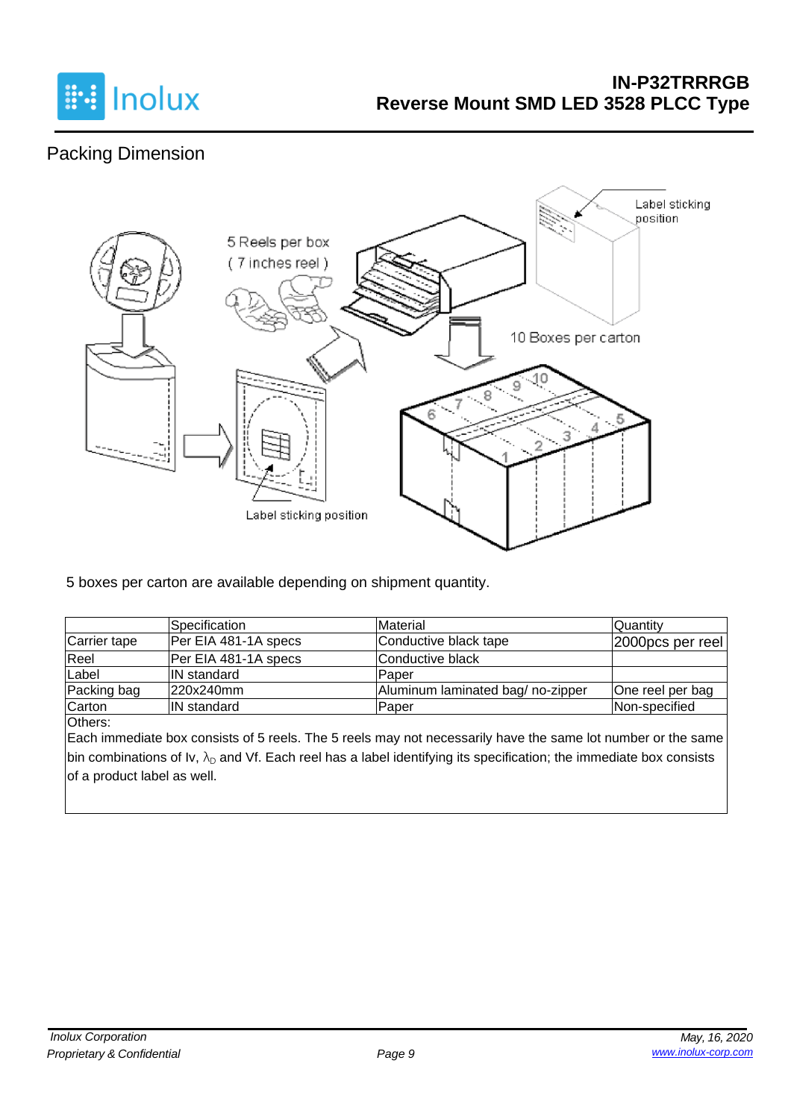

## Packing Dimension



5 boxes per carton are available depending on shipment quantity.

|              | <b>Specification</b> | Material                         | <b>Quantity</b>     |
|--------------|----------------------|----------------------------------|---------------------|
| Carrier tape | Per EIA 481-1A specs | Conductive black tape            | $ 2000pcs$ per reel |
| Reel         | Per EIA 481-1A specs | Conductive black                 |                     |
| Label        | <b>IN</b> standard   | Paper                            |                     |
| Packing bag  | 220x240mm            | Aluminum laminated bag/no-zipper | One reel per bag    |
| Carton       | <b>IN</b> standard   | Paper                            | Non-specified       |

Others:

Each immediate box consists of 5 reels. The 5 reels may not necessarily have the same lot number or the same bin combinations of Iv,  $\lambda_D$  and Vf. Each reel has a label identifying its specification; the immediate box consists of a product label as well.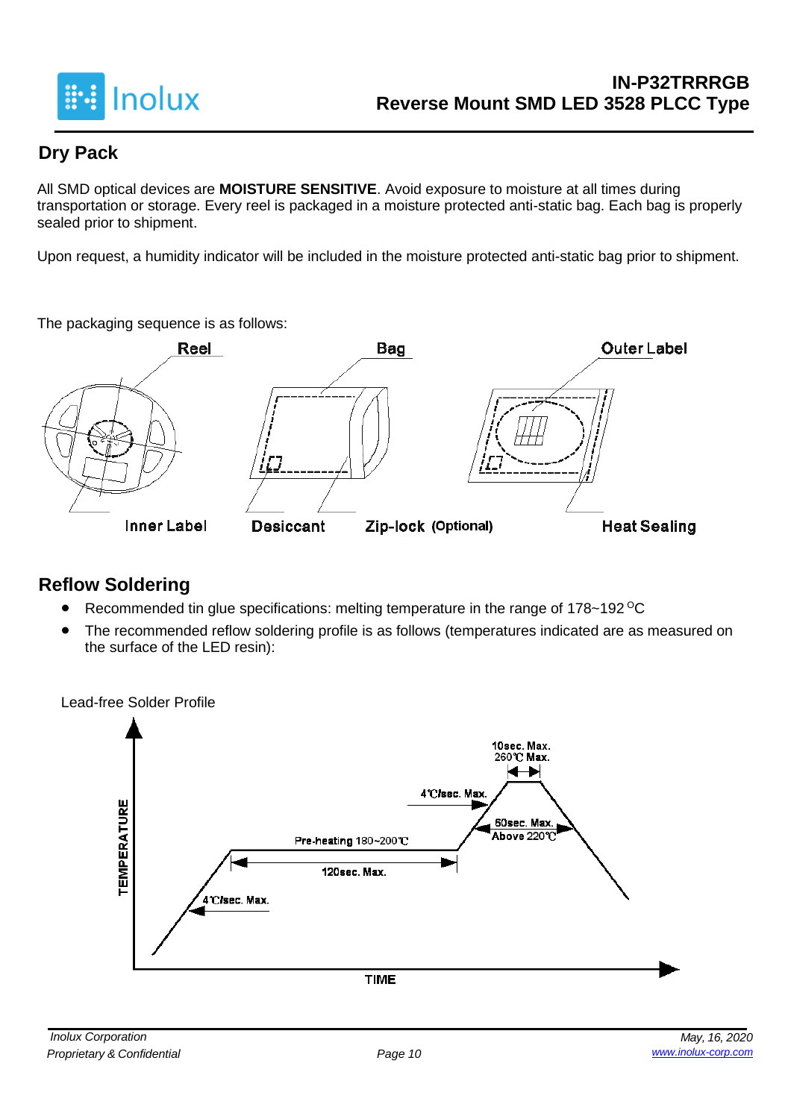

### **Dry Pack**

All SMD optical devices are **MOISTURE SENSITIVE**. Avoid exposure to moisture at all times during transportation or storage. Every reel is packaged in a moisture protected anti-static bag. Each bag is properly sealed prior to shipment.

Upon request, a humidity indicator will be included in the moisture protected anti-static bag prior to shipment.

The packaging sequence is as follows:



### **Reflow Soldering**

- Recommended tin glue specifications: melting temperature in the range of 178~192 <sup>o</sup>C
- The recommended reflow soldering profile is as follows (temperatures indicated are as measured on the surface of the LED resin):

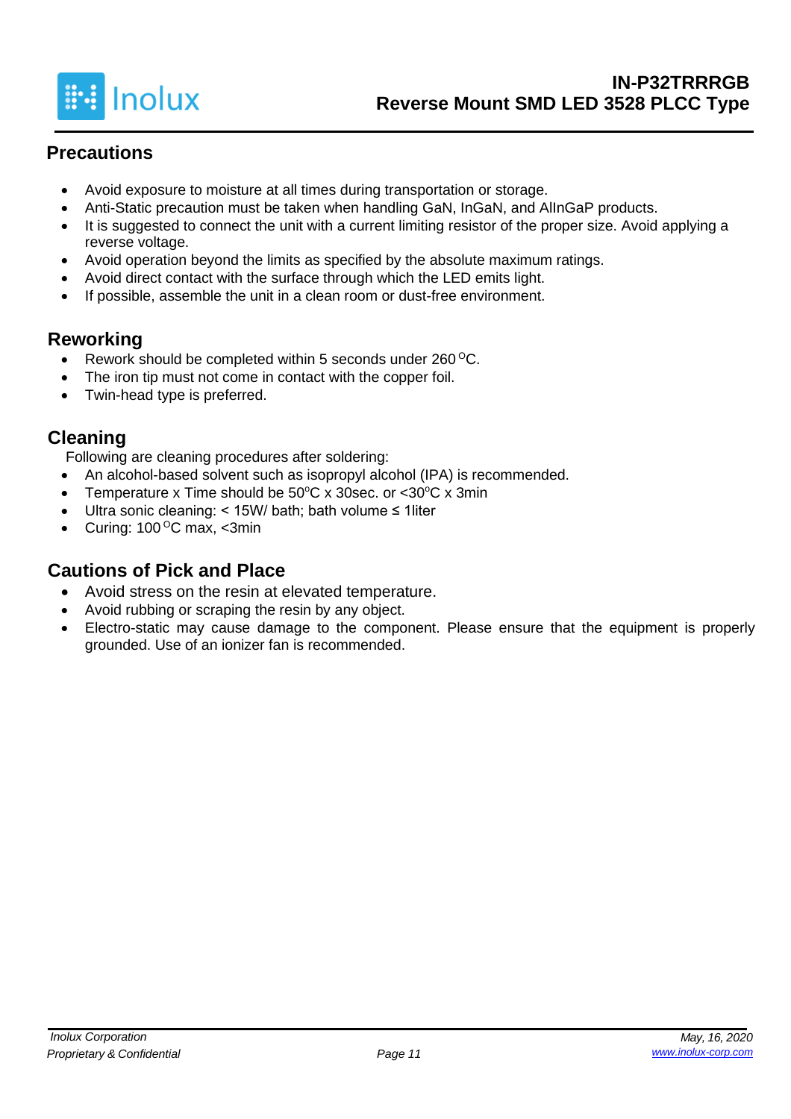

### **Precautions**

- Avoid exposure to moisture at all times during transportation or storage.
- Anti-Static precaution must be taken when handling GaN, InGaN, and AlInGaP products.
- It is suggested to connect the unit with a current limiting resistor of the proper size. Avoid applying a reverse voltage.
- Avoid operation beyond the limits as specified by the absolute maximum ratings.
- Avoid direct contact with the surface through which the LED emits light.
- If possible, assemble the unit in a clean room or dust-free environment.

#### **Reworking**

- Rework should be completed within 5 seconds under 260 °C.
- The iron tip must not come in contact with the copper foil.
- Twin-head type is preferred.

#### **Cleaning**

Following are cleaning procedures after soldering:

- An alcohol-based solvent such as isopropyl alcohol (IPA) is recommended.
- Temperature x Time should be  $50^{\circ}$ C x 30sec. or  $<$ 30 $^{\circ}$ C x 3min
- Ultra sonic cleaning: < 15W/ bath; bath volume ≤ 1liter
- Curing:  $100^{\circ}$ C max, <3min

### **Cautions of Pick and Place**

- Avoid stress on the resin at elevated temperature.
- Avoid rubbing or scraping the resin by any object.
- Electro-static may cause damage to the component. Please ensure that the equipment is properly grounded. Use of an ionizer fan is recommended.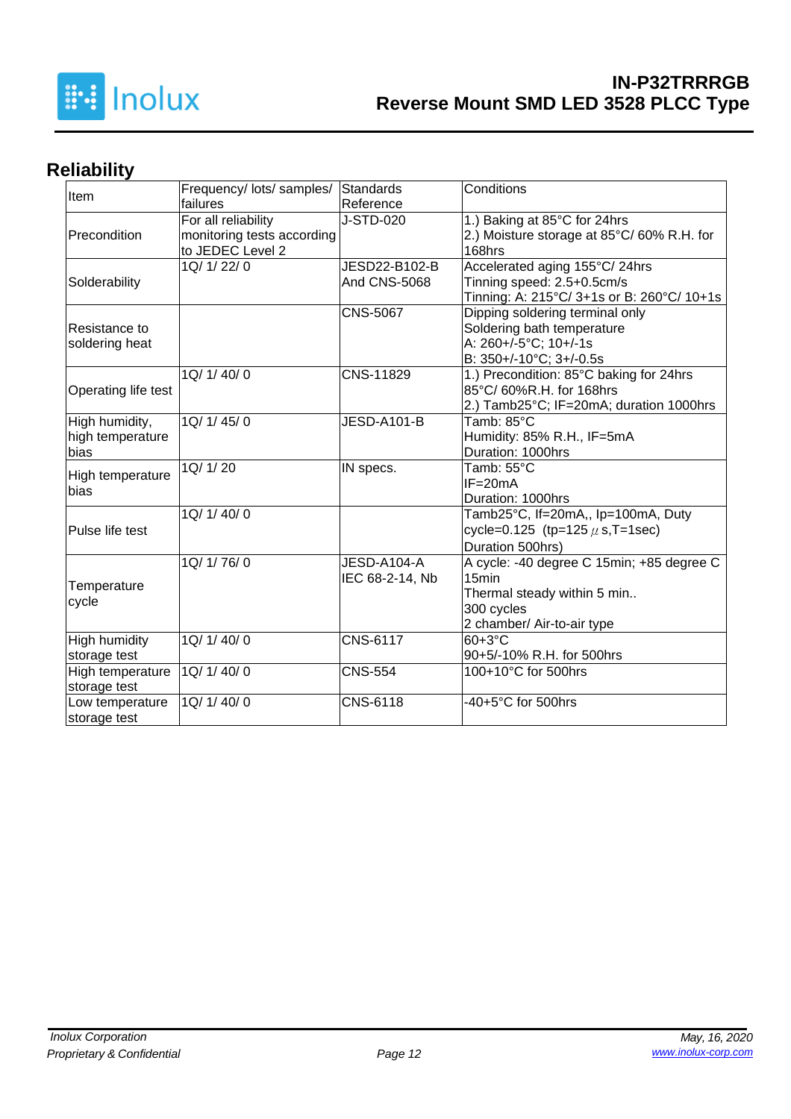

# **Reliability**

|                     | Frequency/ lots/ samples/  | Standards           | Conditions                                 |
|---------------------|----------------------------|---------------------|--------------------------------------------|
| Item                | failures                   | Reference           |                                            |
|                     | For all reliability        | J-STD-020           | 1.) Baking at 85°C for 24hrs               |
| Precondition        | monitoring tests according |                     | 2.) Moisture storage at 85°C/60% R.H. for  |
|                     | to JEDEC Level 2           |                     | 168hrs                                     |
|                     | 1Q/ 1/ 22/ 0               | JESD22-B102-B       | Accelerated aging 155°C/24hrs              |
| Solderability       |                            | <b>And CNS-5068</b> | Tinning speed: 2.5+0.5cm/s                 |
|                     |                            |                     | Tinning: A: 215°C/ 3+1s or B: 260°C/ 10+1s |
|                     |                            | <b>CNS-5067</b>     | Dipping soldering terminal only            |
| Resistance to       |                            |                     | Soldering bath temperature                 |
| soldering heat      |                            |                     | A: 260+/-5°C; 10+/-1s                      |
|                     |                            |                     | B: 350+/-10°C; 3+/-0.5s                    |
|                     | 1Q/ 1/ 40/ 0               | CNS-11829           | 1.) Precondition: 85°C baking for 24hrs    |
| Operating life test |                            |                     | 85°C/ 60%R.H. for 168hrs                   |
|                     |                            |                     | 2.) Tamb25°C; IF=20mA; duration 1000hrs    |
| High humidity,      | 1Q/ 1/ 45/ 0               | JESD-A101-B         | Tamb: 85°C                                 |
| high temperature    |                            |                     | Humidity: 85% R.H., IF=5mA                 |
| bias                |                            |                     | Duration: 1000hrs                          |
| High temperature    | 1Q/ 1/ 20                  | IN specs.           | Tamb: 55°C                                 |
| bias                |                            |                     | $IF = 20mA$                                |
|                     |                            |                     | Duration: 1000hrs                          |
|                     | 1Q/ 1/ 40/ 0               |                     | Tamb25°C, If=20mA,, Ip=100mA, Duty         |
| Pulse life test     |                            |                     | cycle=0.125 (tp=125 $\mu$ s, T=1sec)       |
|                     |                            |                     | Duration 500hrs)                           |
|                     | 1Q/ 1/ 76/ 0               | JESD-A104-A         | A cycle: -40 degree C 15min; +85 degree C  |
| Temperature         |                            | IEC 68-2-14, Nb     | 15 <sub>min</sub>                          |
|                     |                            |                     | Thermal steady within 5 min                |
| cycle               |                            |                     | 300 cycles                                 |
|                     |                            |                     | 2 chamber/ Air-to-air type                 |
| High humidity       | 1Q/ 1/ 40/ 0               | CNS-6117            | 60+3°C                                     |
| storage test        |                            |                     | 90+5/-10% R.H. for 500hrs                  |
| High temperature    | 1Q/ 1/ 40/ 0               | <b>CNS-554</b>      | 100+10°C for 500hrs                        |
| storage test        |                            |                     |                                            |
| Low temperature     | 1Q/ 1/ 40/ 0               | CNS-6118            | -40+5°C for 500hrs                         |
| storage test        |                            |                     |                                            |